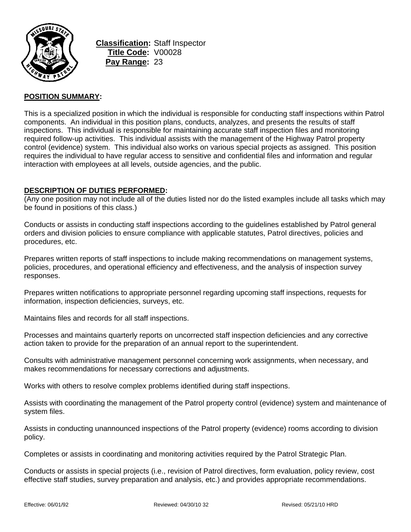

**Classification:** Staff Inspector **Title Code:** V00028 **Pay Range:** 23

### **POSITION SUMMARY:**

This is a specialized position in which the individual is responsible for conducting staff inspections within Patrol components. An individual in this position plans, conducts, analyzes, and presents the results of staff inspections. This individual is responsible for maintaining accurate staff inspection files and monitoring required follow-up activities. This individual assists with the management of the Highway Patrol property control (evidence) system. This individual also works on various special projects as assigned. This position requires the individual to have regular access to sensitive and confidential files and information and regular interaction with employees at all levels, outside agencies, and the public.

### **DESCRIPTION OF DUTIES PERFORMED:**

(Any one position may not include all of the duties listed nor do the listed examples include all tasks which may be found in positions of this class.)

Conducts or assists in conducting staff inspections according to the guidelines established by Patrol general orders and division policies to ensure compliance with applicable statutes, Patrol directives, policies and procedures, etc.

Prepares written reports of staff inspections to include making recommendations on management systems, policies, procedures, and operational efficiency and effectiveness, and the analysis of inspection survey responses.

Prepares written notifications to appropriate personnel regarding upcoming staff inspections, requests for information, inspection deficiencies, surveys, etc.

Maintains files and records for all staff inspections.

Processes and maintains quarterly reports on uncorrected staff inspection deficiencies and any corrective action taken to provide for the preparation of an annual report to the superintendent.

Consults with administrative management personnel concerning work assignments, when necessary, and makes recommendations for necessary corrections and adjustments.

Works with others to resolve complex problems identified during staff inspections.

Assists with coordinating the management of the Patrol property control (evidence) system and maintenance of system files.

Assists in conducting unannounced inspections of the Patrol property (evidence) rooms according to division policy.

Completes or assists in coordinating and monitoring activities required by the Patrol Strategic Plan.

Conducts or assists in special projects (i.e., revision of Patrol directives, form evaluation, policy review, cost effective staff studies, survey preparation and analysis, etc.) and provides appropriate recommendations.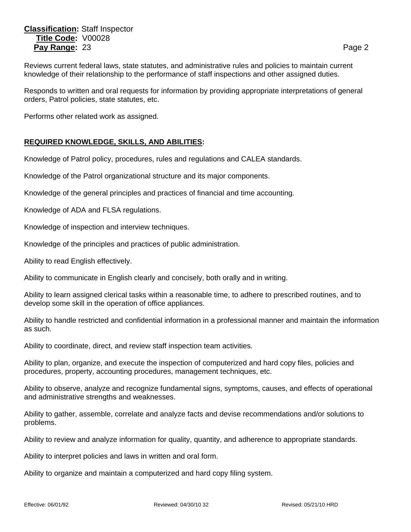# **Classification:** Staff Inspector **Title Code:** V00028 **Pay Range:** 23 **Page 2 Page 2 Page 2 Page 2**

Responds to written and oral requests for information by providing appropriate interpretations of general orders, Patrol policies, state statutes, etc.

Performs other related work as assigned.

## **REQUIRED KNOWLEDGE, SKILLS, AND ABILITIES:**

Knowledge of Patrol policy, procedures, rules and regulations and CALEA standards.

Knowledge of the Patrol organizational structure and its major components.

Knowledge of the general principles and practices of financial and time accounting.

Knowledge of ADA and FLSA regulations.

Knowledge of inspection and interview techniques.

Knowledge of the principles and practices of public administration.

Ability to read English effectively.

Ability to communicate in English clearly and concisely, both orally and in writing.

Ability to learn assigned clerical tasks within a reasonable time, to adhere to prescribed routines, and to develop some skill in the operation of office appliances.

Ability to handle restricted and confidential information in a professional manner and maintain the information as such.

Ability to coordinate, direct, and review staff inspection team activities.

Ability to plan, organize, and execute the inspection of computerized and hard copy files, policies and procedures, property, accounting procedures, management techniques, etc.

Ability to observe, analyze and recognize fundamental signs, symptoms, causes, and effects of operational and administrative strengths and weaknesses.

Ability to gather, assemble, correlate and analyze facts and devise recommendations and/or solutions to problems.

Ability to review and analyze information for quality, quantity, and adherence to appropriate standards.

Ability to interpret policies and laws in written and oral form.

Ability to organize and maintain a computerized and hard copy filing system.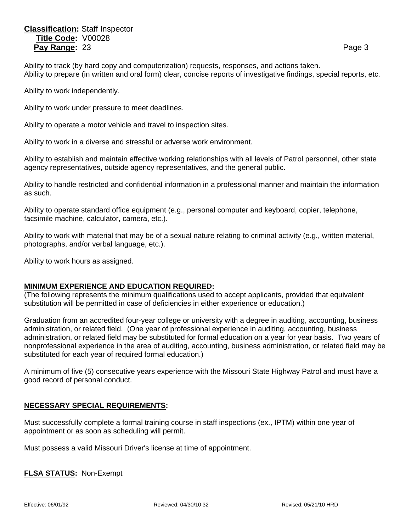# **Classification:** Staff Inspector **Title Code:** V00028 **Pay Range:** 23 **Page 3** Page 3

Ability to track (by hard copy and computerization) requests, responses, and actions taken. Ability to prepare (in written and oral form) clear, concise reports of investigative findings, special reports, etc.

Ability to work independently.

Ability to work under pressure to meet deadlines.

Ability to operate a motor vehicle and travel to inspection sites.

Ability to work in a diverse and stressful or adverse work environment.

Ability to establish and maintain effective working relationships with all levels of Patrol personnel, other state agency representatives, outside agency representatives, and the general public.

Ability to handle restricted and confidential information in a professional manner and maintain the information as such.

Ability to operate standard office equipment (e.g., personal computer and keyboard, copier, telephone, facsimile machine, calculator, camera, etc.).

Ability to work with material that may be of a sexual nature relating to criminal activity (e.g., written material, photographs, and/or verbal language, etc.).

Ability to work hours as assigned.

### **MINIMUM EXPERIENCE AND EDUCATION REQUIRED:**

(The following represents the minimum qualifications used to accept applicants, provided that equivalent substitution will be permitted in case of deficiencies in either experience or education.)

Graduation from an accredited four-year college or university with a degree in auditing, accounting, business administration, or related field. (One year of professional experience in auditing, accounting, business administration, or related field may be substituted for formal education on a year for year basis. Two years of nonprofessional experience in the area of auditing, accounting, business administration, or related field may be substituted for each year of required formal education.)

A minimum of five (5) consecutive years experience with the Missouri State Highway Patrol and must have a good record of personal conduct.

### **NECESSARY SPECIAL REQUIREMENTS:**

Must successfully complete a formal training course in staff inspections (ex., IPTM) within one year of appointment or as soon as scheduling will permit.

Must possess a valid Missouri Driver's license at time of appointment.

**FLSA STATUS:** Non-Exempt